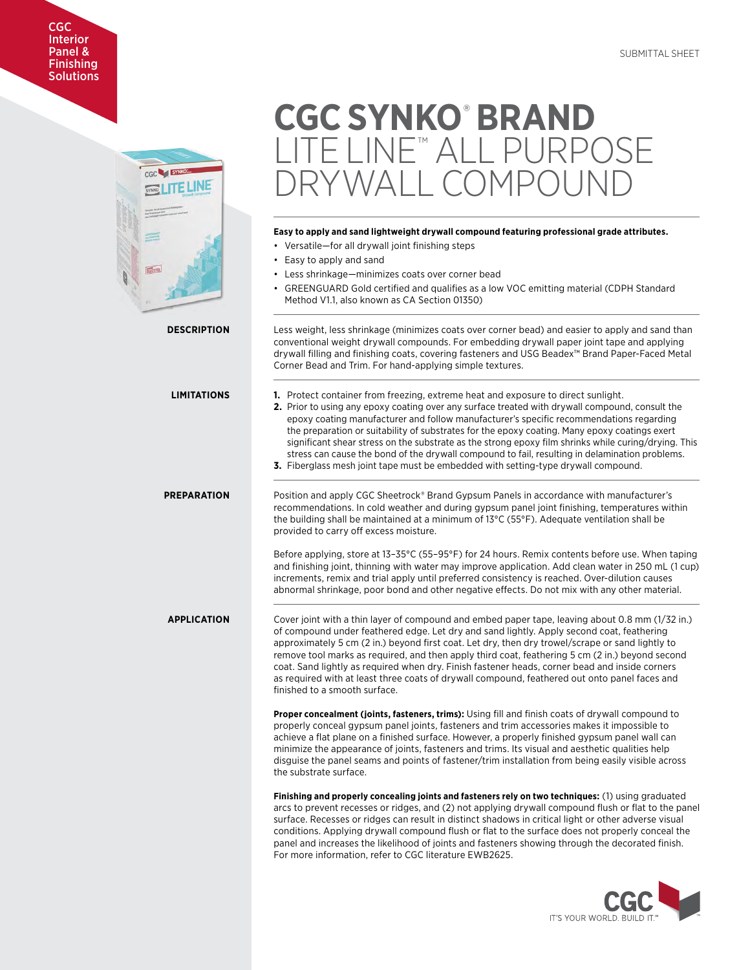## CGC Interior Panel & **Finishing Solutions**



# **CGC SYNKO**®  **BRAND**  LITE LINE™ ALL PURPOSE RYWALL COMPOUN

## **Easy to apply and sand lightweight drywall compound featuring professional grade attributes.**

- Versatile—for all drywall joint finishing steps
- Easy to apply and sand
- Less shrinkage—minimizes coats over corner bead
- GREENGUARD Gold certified and qualifies as a low VOC emitting material (CDPH Standard Method V1.1, also known as CA Section 01350)

**DESCRIPTION** Less weight, less shrinkage (minimizes coats over corner bead) and easier to apply and sand than conventional weight drywall compounds. For embedding drywall paper joint tape and applying drywall filling and finishing coats, covering fasteners and USG Beadex™ Brand Paper-Faced Metal Corner Bead and Trim. For hand-applying simple textures. **LIMITATIONS 1.** Protect container from freezing, extreme heat and exposure to direct sunlight. **2.** Prior to using any epoxy coating over any surface treated with drywall compound, consult the epoxy coating manufacturer and follow manufacturer's specific recommendations regarding the preparation or suitability of substrates for the epoxy coating. Many epoxy coatings exert significant shear stress on the substrate as the strong epoxy film shrinks while curing/drying. This

stress can cause the bond of the drywall compound to fail, resulting in delamination problems.

**3.** Fiberglass mesh joint tape must be embedded with setting-type drywall compound.

**PREPARATION** Position and apply CGC Sheetrock® Brand Gypsum Panels in accordance with manufacturer's recommendations. In cold weather and during gypsum panel joint finishing, temperatures within the building shall be maintained at a minimum of 13°C (55°F). Adequate ventilation shall be provided to carry off excess moisture.

> Before applying, store at 13–35°C (55–95°F) for 24 hours. Remix contents before use. When taping and finishing joint, thinning with water may improve application. Add clean water in 250 mL (1 cup) increments, remix and trial apply until preferred consistency is reached. Over-dilution causes abnormal shrinkage, poor bond and other negative effects. Do not mix with any other material.

**APPLICATION** Cover joint with a thin layer of compound and embed paper tape, leaving about 0.8 mm (1/32 in.) of compound under feathered edge. Let dry and sand lightly. Apply second coat, feathering approximately 5 cm (2 in.) beyond first coat. Let dry, then dry trowel/scrape or sand lightly to remove tool marks as required, and then apply third coat, feathering 5 cm (2 in.) beyond second coat. Sand lightly as required when dry. Finish fastener heads, corner bead and inside corners as required with at least three coats of drywall compound, feathered out onto panel faces and finished to a smooth surface.

> **Proper concealment (joints, fasteners, trims):** Using fill and finish coats of drywall compound to properly conceal gypsum panel joints, fasteners and trim accessories makes it impossible to achieve a flat plane on a finished surface. However, a properly finished gypsum panel wall can minimize the appearance of joints, fasteners and trims. Its visual and aesthetic qualities help disguise the panel seams and points of fastener/trim installation from being easily visible across the substrate surface.

**Finishing and properly concealing joints and fasteners rely on two techniques:** (1) using graduated arcs to prevent recesses or ridges, and (2) not applying drywall compound flush or flat to the panel surface. Recesses or ridges can result in distinct shadows in critical light or other adverse visual conditions. Applying drywall compound flush or flat to the surface does not properly conceal the panel and increases the likelihood of joints and fasteners showing through the decorated finish. For more information, refer to CGC literature EWB2625.